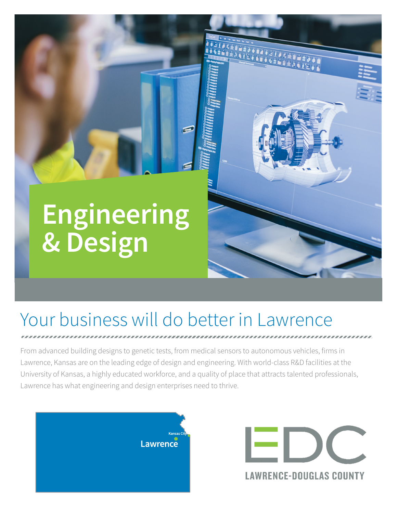# **Engineering & Design**



## Your business will do better in Lawrence

From advanced building designs to genetic tests, from medical sensors to autonomous vehicles, firms in Lawrence, Kansas are on the leading edge of design and engineering. With world-class R&D facilities at the University of Kansas, a highly educated workforce, and a quality of place that attracts talented professionals, Lawrence has what engineering and design enterprises need to thrive.